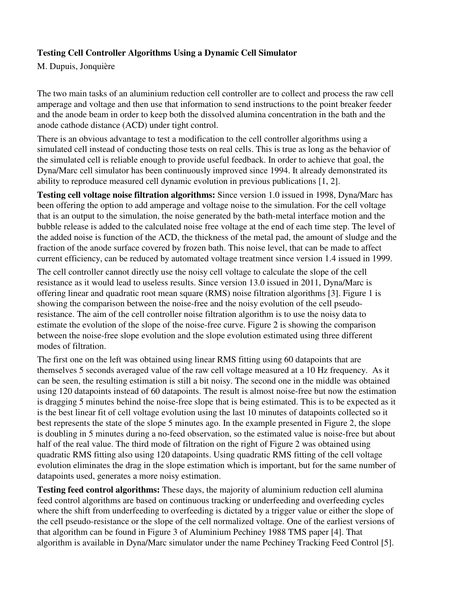## **Testing Cell Controller Algorithms Using a Dynamic Cell Simulator**

M. Dupuis, Jonquière

The two main tasks of an aluminium reduction cell controller are to collect and process the raw cell amperage and voltage and then use that information to send instructions to the point breaker feeder and the anode beam in order to keep both the dissolved alumina concentration in the bath and the anode cathode distance (ACD) under tight control.

There is an obvious advantage to test a modification to the cell controller algorithms using a simulated cell instead of conducting those tests on real cells. This is true as long as the behavior of the simulated cell is reliable enough to provide useful feedback. In order to achieve that goal, the Dyna/Marc cell simulator has been continuously improved since 1994. It already demonstrated its ability to reproduce measured cell dynamic evolution in previous publications [1, 2].

**Testing cell voltage noise filtration algorithms:** Since version 1.0 issued in 1998, Dyna/Marc has been offering the option to add amperage and voltage noise to the simulation. For the cell voltage that is an output to the simulation, the noise generated by the bath-metal interface motion and the bubble release is added to the calculated noise free voltage at the end of each time step. The level of the added noise is function of the ACD, the thickness of the metal pad, the amount of sludge and the fraction of the anode surface covered by frozen bath. This noise level, that can be made to affect current efficiency, can be reduced by automated voltage treatment since version 1.4 issued in 1999.

The cell controller cannot directly use the noisy cell voltage to calculate the slope of the cell resistance as it would lead to useless results. Since version 13.0 issued in 2011, Dyna/Marc is offering linear and quadratic root mean square (RMS) noise filtration algorithms [3]. Figure 1 is showing the comparison between the noise-free and the noisy evolution of the cell pseudoresistance. The aim of the cell controller noise filtration algorithm is to use the noisy data to estimate the evolution of the slope of the noise-free curve. Figure 2 is showing the comparison between the noise-free slope evolution and the slope evolution estimated using three different modes of filtration.

The first one on the left was obtained using linear RMS fitting using 60 datapoints that are themselves 5 seconds averaged value of the raw cell voltage measured at a 10 Hz frequency. As it can be seen, the resulting estimation is still a bit noisy. The second one in the middle was obtained using 120 datapoints instead of 60 datapoints. The result is almost noise-free but now the estimation is dragging 5 minutes behind the noise-free slope that is being estimated. This is to be expected as it is the best linear fit of cell voltage evolution using the last 10 minutes of datapoints collected so it best represents the state of the slope 5 minutes ago. In the example presented in Figure 2, the slope is doubling in 5 minutes during a no-feed observation, so the estimated value is noise-free but about half of the real value. The third mode of filtration on the right of Figure 2 was obtained using quadratic RMS fitting also using 120 datapoints. Using quadratic RMS fitting of the cell voltage evolution eliminates the drag in the slope estimation which is important, but for the same number of datapoints used, generates a more noisy estimation.

**Testing feed control algorithms:** These days, the majority of aluminium reduction cell alumina feed control algorithms are based on continuous tracking or underfeeding and overfeeding cycles where the shift from underfeeding to overfeeding is dictated by a trigger value or either the slope of the cell pseudo-resistance or the slope of the cell normalized voltage. One of the earliest versions of that algorithm can be found in Figure 3 of Aluminium Pechiney 1988 TMS paper [4]. That algorithm is available in Dyna/Marc simulator under the name Pechiney Tracking Feed Control [5].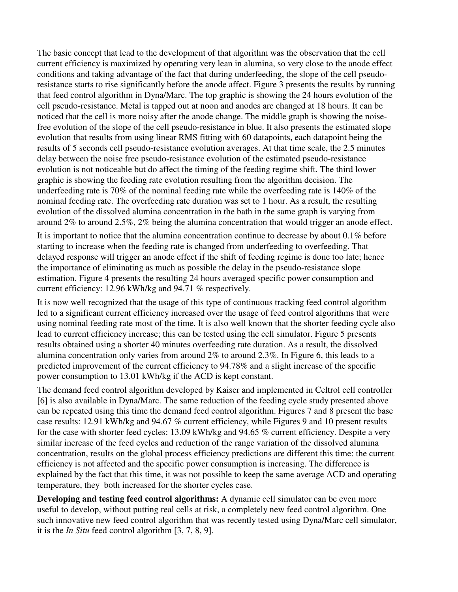The basic concept that lead to the development of that algorithm was the observation that the cell current efficiency is maximized by operating very lean in alumina, so very close to the anode effect conditions and taking advantage of the fact that during underfeeding, the slope of the cell pseudoresistance starts to rise significantly before the anode affect. Figure 3 presents the results by running that feed control algorithm in Dyna/Marc. The top graphic is showing the 24 hours evolution of the cell pseudo-resistance. Metal is tapped out at noon and anodes are changed at 18 hours. It can be noticed that the cell is more noisy after the anode change. The middle graph is showing the noisefree evolution of the slope of the cell pseudo-resistance in blue. It also presents the estimated slope evolution that results from using linear RMS fitting with 60 datapoints, each datapoint being the results of 5 seconds cell pseudo-resistance evolution averages. At that time scale, the 2.5 minutes delay between the noise free pseudo-resistance evolution of the estimated pseudo-resistance evolution is not noticeable but do affect the timing of the feeding regime shift. The third lower graphic is showing the feeding rate evolution resulting from the algorithm decision. The underfeeding rate is 70% of the nominal feeding rate while the overfeeding rate is 140% of the nominal feeding rate. The overfeeding rate duration was set to 1 hour. As a result, the resulting evolution of the dissolved alumina concentration in the bath in the same graph is varying from around 2% to around 2.5%, 2% being the alumina concentration that would trigger an anode effect.

It is important to notice that the alumina concentration continue to decrease by about 0.1% before starting to increase when the feeding rate is changed from underfeeding to overfeeding. That delayed response will trigger an anode effect if the shift of feeding regime is done too late; hence the importance of eliminating as much as possible the delay in the pseudo-resistance slope estimation. Figure 4 presents the resulting 24 hours averaged specific power consumption and current efficiency: 12.96 kWh/kg and 94.71 % respectively.

It is now well recognized that the usage of this type of continuous tracking feed control algorithm led to a significant current efficiency increased over the usage of feed control algorithms that were using nominal feeding rate most of the time. It is also well known that the shorter feeding cycle also lead to current efficiency increase; this can be tested using the cell simulator. Figure 5 presents results obtained using a shorter 40 minutes overfeeding rate duration. As a result, the dissolved alumina concentration only varies from around 2% to around 2.3%. In Figure 6, this leads to a predicted improvement of the current efficiency to 94.78% and a slight increase of the specific power consumption to 13.01 kWh/kg if the ACD is kept constant.

The demand feed control algorithm developed by Kaiser and implemented in Celtrol cell controller [6] is also available in Dyna/Marc. The same reduction of the feeding cycle study presented above can be repeated using this time the demand feed control algorithm. Figures 7 and 8 present the base case results: 12.91 kWh/kg and 94.67 % current efficiency, while Figures 9 and 10 present results for the case with shorter feed cycles: 13.09 kWh/kg and 94.65 % current efficiency. Despite a very similar increase of the feed cycles and reduction of the range variation of the dissolved alumina concentration, results on the global process efficiency predictions are different this time: the current efficiency is not affected and the specific power consumption is increasing. The difference is explained by the fact that this time, it was not possible to keep the same average ACD and operating temperature, they both increased for the shorter cycles case.

**Developing and testing feed control algorithms:** A dynamic cell simulator can be even more useful to develop, without putting real cells at risk, a completely new feed control algorithm. One such innovative new feed control algorithm that was recently tested using Dyna/Marc cell simulator, it is the *In Situ* feed control algorithm [3, 7, 8, 9].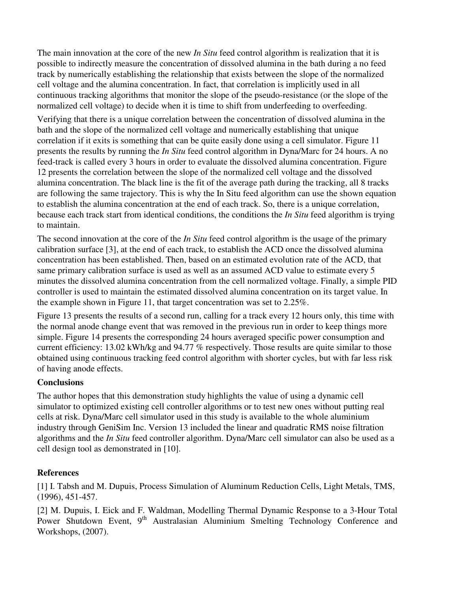The main innovation at the core of the new *In Situ* feed control algorithm is realization that it is possible to indirectly measure the concentration of dissolved alumina in the bath during a no feed track by numerically establishing the relationship that exists between the slope of the normalized cell voltage and the alumina concentration. In fact, that correlation is implicitly used in all continuous tracking algorithms that monitor the slope of the pseudo-resistance (or the slope of the normalized cell voltage) to decide when it is time to shift from underfeeding to overfeeding.

Verifying that there is a unique correlation between the concentration of dissolved alumina in the bath and the slope of the normalized cell voltage and numerically establishing that unique correlation if it exits is something that can be quite easily done using a cell simulator. Figure 11 presents the results by running the *In Situ* feed control algorithm in Dyna/Marc for 24 hours. A no feed-track is called every 3 hours in order to evaluate the dissolved alumina concentration. Figure 12 presents the correlation between the slope of the normalized cell voltage and the dissolved alumina concentration. The black line is the fit of the average path during the tracking, all 8 tracks are following the same trajectory. This is why the In Situ feed algorithm can use the shown equation to establish the alumina concentration at the end of each track. So, there is a unique correlation, because each track start from identical conditions, the conditions the *In Situ* feed algorithm is trying to maintain.

The second innovation at the core of the *In Situ* feed control algorithm is the usage of the primary calibration surface [3], at the end of each track, to establish the ACD once the dissolved alumina concentration has been established. Then, based on an estimated evolution rate of the ACD, that same primary calibration surface is used as well as an assumed ACD value to estimate every 5 minutes the dissolved alumina concentration from the cell normalized voltage. Finally, a simple PID controller is used to maintain the estimated dissolved alumina concentration on its target value. In the example shown in Figure 11, that target concentration was set to 2.25%.

Figure 13 presents the results of a second run, calling for a track every 12 hours only, this time with the normal anode change event that was removed in the previous run in order to keep things more simple. Figure 14 presents the corresponding 24 hours averaged specific power consumption and current efficiency: 13.02 kWh/kg and 94.77 % respectively. Those results are quite similar to those obtained using continuous tracking feed control algorithm with shorter cycles, but with far less risk of having anode effects.

## **Conclusions**

The author hopes that this demonstration study highlights the value of using a dynamic cell simulator to optimized existing cell controller algorithms or to test new ones without putting real cells at risk. Dyna/Marc cell simulator used in this study is available to the whole aluminium industry through GeniSim Inc. Version 13 included the linear and quadratic RMS noise filtration algorithms and the *In Situ* feed controller algorithm. Dyna/Marc cell simulator can also be used as a cell design tool as demonstrated in [10].

## **References**

[1] I. Tabsh and M. Dupuis, Process Simulation of Aluminum Reduction Cells, Light Metals, TMS, (1996), 451-457.

[2] M. Dupuis, I. Eick and F. Waldman, Modelling Thermal Dynamic Response to a 3-Hour Total Power Shutdown Event, 9<sup>th</sup> Australasian Aluminium Smelting Technology Conference and Workshops, (2007).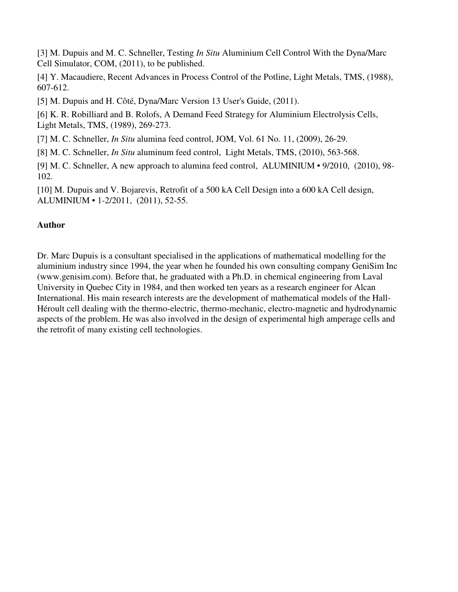[3] M. Dupuis and M. C. Schneller, Testing *In Situ* Aluminium Cell Control With the Dyna/Marc Cell Simulator, COM, (2011), to be published.

[4] Y. Macaudiere, Recent Advances in Process Control of the Potline, Light Metals, TMS, (1988), 607-612.

[5] M. Dupuis and H. Côté, Dyna/Marc Version 13 User's Guide, (2011).

[6] K. R. Robilliard and B. Rolofs, A Demand Feed Strategy for Aluminium Electrolysis Cells, Light Metals, TMS, (1989), 269-273.

[7] M. C. Schneller, *In Situ* alumina feed control, JOM, Vol. 61 No. 11, (2009), 26-29.

[8] M. C. Schneller, *In Situ* aluminum feed control, Light Metals, TMS, (2010), 563-568.

[9] M. C. Schneller, A new approach to alumina feed control, ALUMINIUM • 9/2010, (2010), 98- 102.

[10] M. Dupuis and V. Bojarevis, Retrofit of a 500 kA Cell Design into a 600 kA Cell design, ALUMINIUM • 1-2/2011, (2011), 52-55.

## **Author**

Dr. Marc Dupuis is a consultant specialised in the applications of mathematical modelling for the aluminium industry since 1994, the year when he founded his own consulting company GeniSim Inc (www.genisim.com). Before that, he graduated with a Ph.D. in chemical engineering from Laval University in Quebec City in 1984, and then worked ten years as a research engineer for Alcan International. His main research interests are the development of mathematical models of the Hall-Héroult cell dealing with the thermo-electric, thermo-mechanic, electro-magnetic and hydrodynamic aspects of the problem. He was also involved in the design of experimental high amperage cells and the retrofit of many existing cell technologies.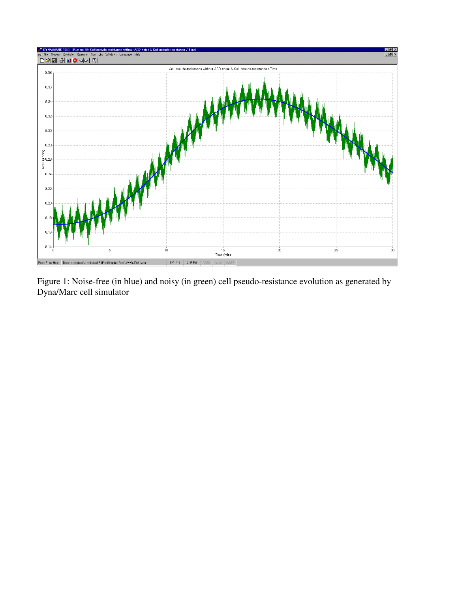

Figure 1: Noise-free (in blue) and noisy (in green) cell pseudo-resistance evolution as generated by Dyna/Marc cell simulator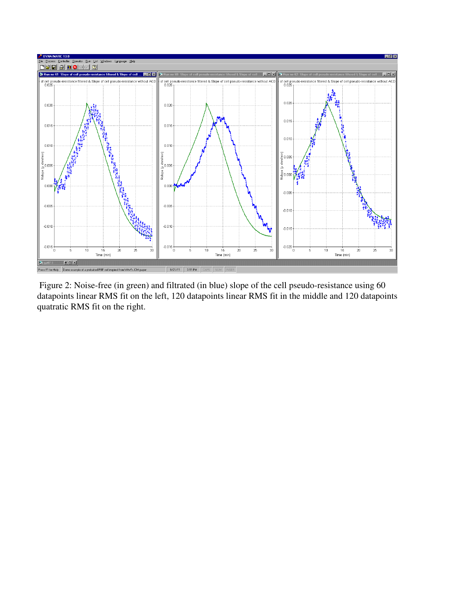

 Figure 2: Noise-free (in green) and filtrated (in blue) slope of the cell pseudo-resistance using 60 datapoints linear RMS fit on the left, 120 datapoints linear RMS fit in the middle and 120 datapoints quatratic RMS fit on the right.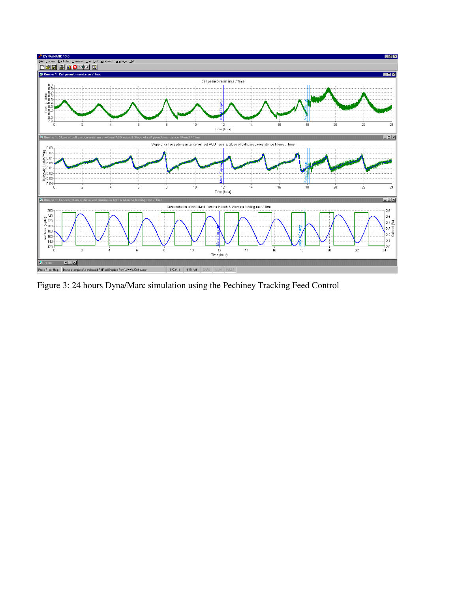

Figure 3: 24 hours Dyna/Marc simulation using the Pechiney Tracking Feed Control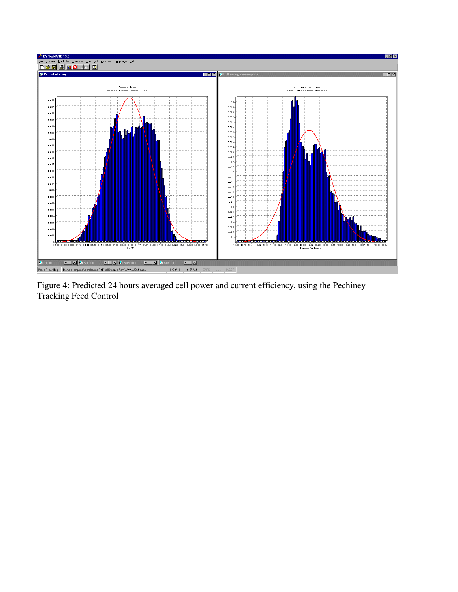

Figure 4: Predicted 24 hours averaged cell power and current efficiency, using the Pechiney Tracking Feed Control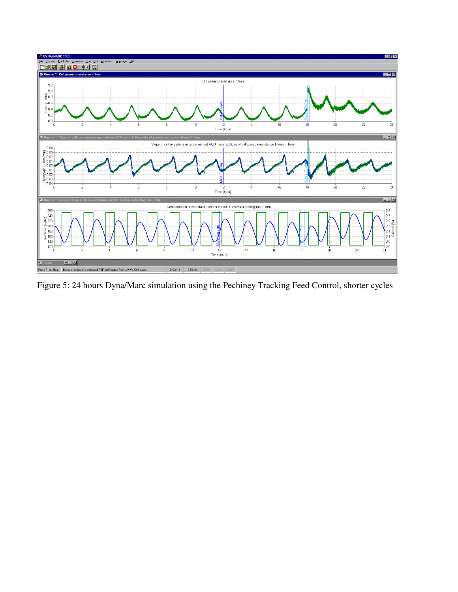

Figure 5: 24 hours Dyna/Marc simulation using the Pechiney Tracking Feed Control, shorter cycles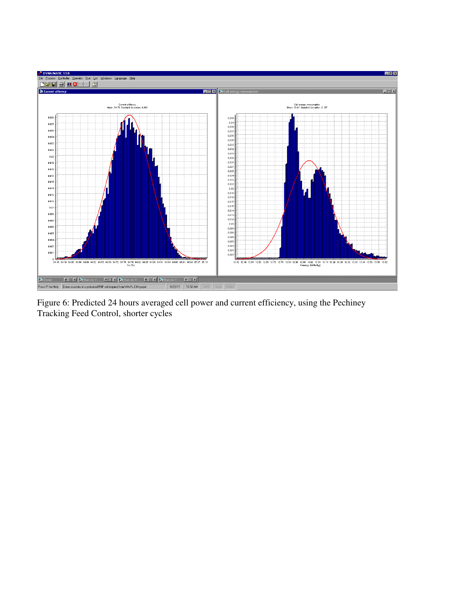

Figure 6: Predicted 24 hours averaged cell power and current efficiency, using the Pechiney Tracking Feed Control, shorter cycles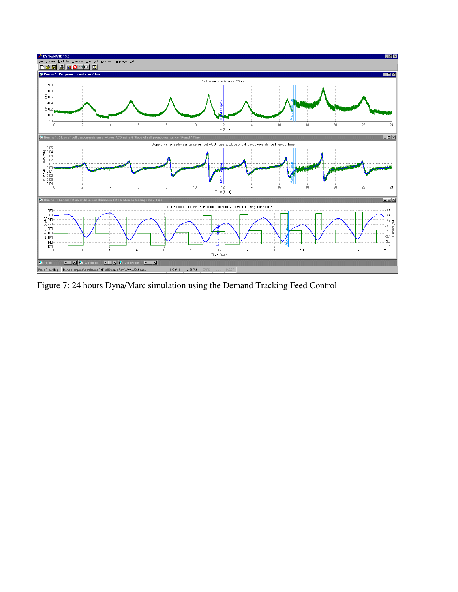

Figure 7: 24 hours Dyna/Marc simulation using the Demand Tracking Feed Control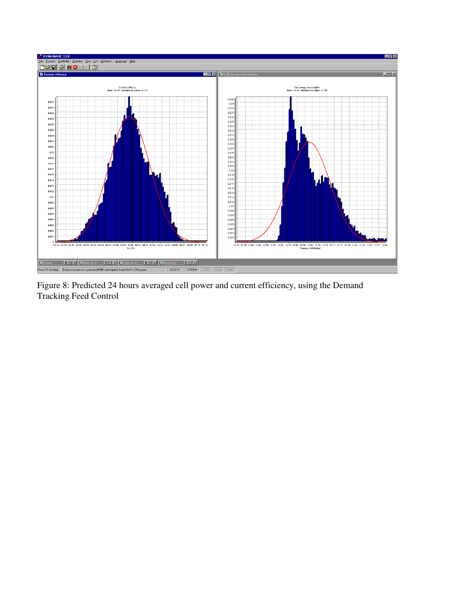

Figure 8: Predicted 24 hours averaged cell power and current efficiency, using the Demand Tracking Feed Control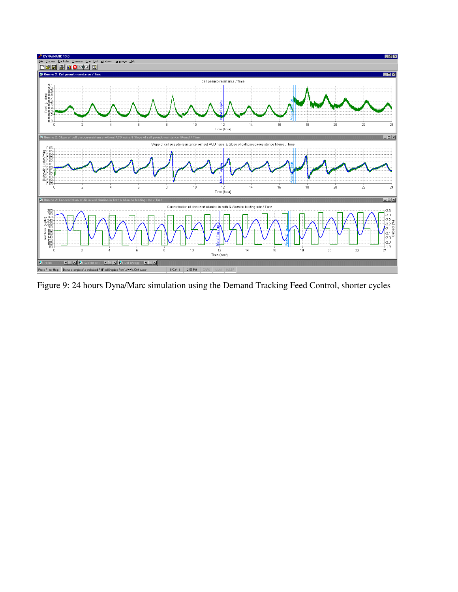

Figure 9: 24 hours Dyna/Marc simulation using the Demand Tracking Feed Control, shorter cycles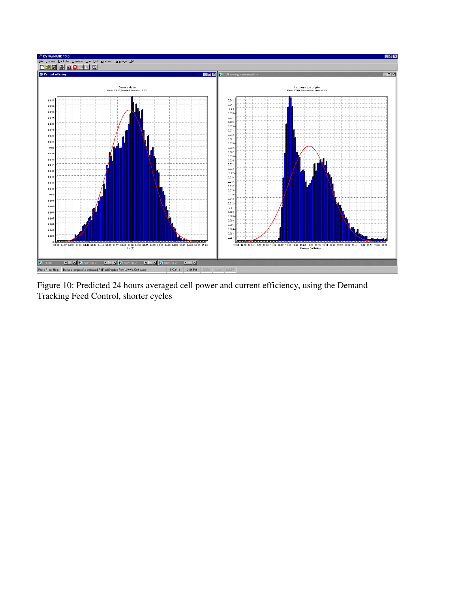

Figure 10: Predicted 24 hours averaged cell power and current efficiency, using the Demand Tracking Feed Control, shorter cycles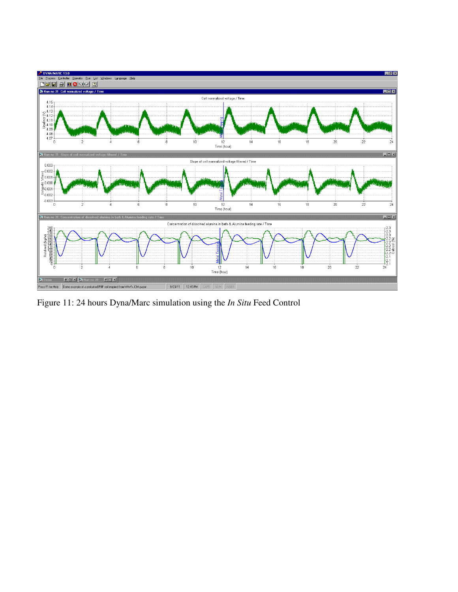

Figure 11: 24 hours Dyna/Marc simulation using the *In Situ* Feed Control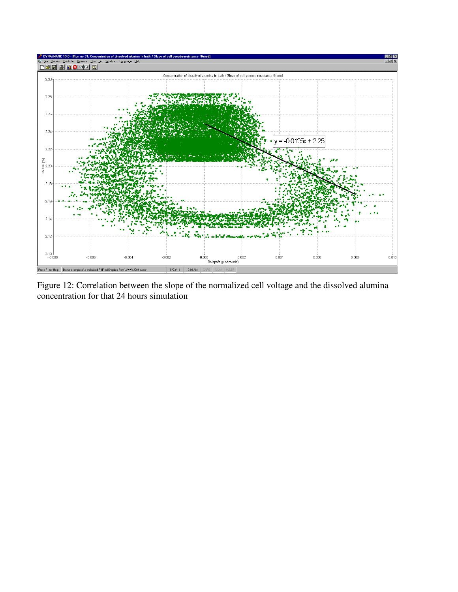

Figure 12: Correlation between the slope of the normalized cell voltage and the dissolved alumina concentration for that 24 hours simulation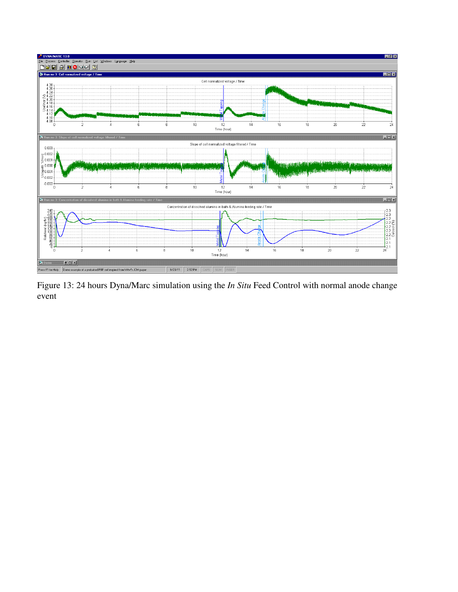

Figure 13: 24 hours Dyna/Marc simulation using the *In Situ* Feed Control with normal anode change event